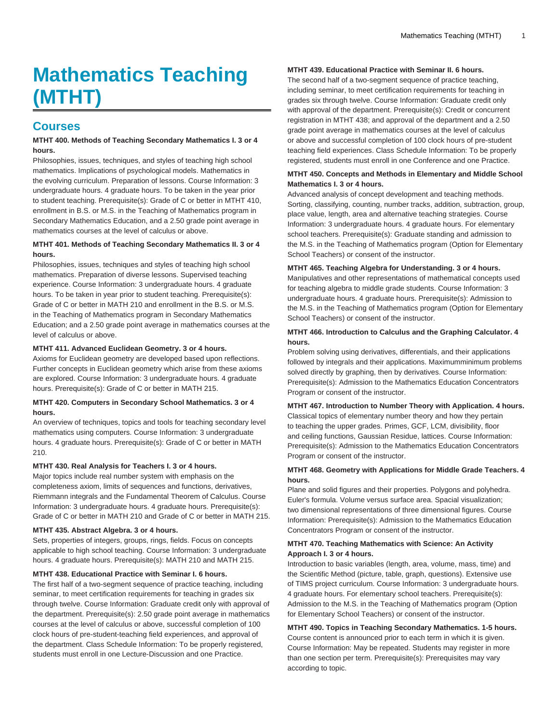# **Mathematics Teaching (MTHT)**

## **Courses**

#### **MTHT 400. Methods of Teaching Secondary Mathematics I. 3 or 4 hours.**

Philosophies, issues, techniques, and styles of teaching high school mathematics. Implications of psychological models. Mathematics in the evolving curriculum. Preparation of lessons. Course Information: 3 undergraduate hours. 4 graduate hours. To be taken in the year prior to student teaching. Prerequisite(s): Grade of C or better in MTHT 410, enrollment in B.S. or M.S. in the Teaching of Mathematics program in Secondary Mathematics Education, and a 2.50 grade point average in mathematics courses at the level of calculus or above.

#### **MTHT 401. Methods of Teaching Secondary Mathematics II. 3 or 4 hours.**

Philosophies, issues, techniques and styles of teaching high school mathematics. Preparation of diverse lessons. Supervised teaching experience. Course Information: 3 undergraduate hours. 4 graduate hours. To be taken in year prior to student teaching. Prerequisite(s): Grade of C or better in MATH 210 and enrollment in the B.S. or M.S. in the Teaching of Mathematics program in Secondary Mathematics Education; and a 2.50 grade point average in mathematics courses at the level of calculus or above.

#### **MTHT 411. Advanced Euclidean Geometry. 3 or 4 hours.**

Axioms for Euclidean geometry are developed based upon reflections. Further concepts in Euclidean geometry which arise from these axioms are explored. Course Information: 3 undergraduate hours. 4 graduate hours. Prerequisite(s): Grade of C or better in MATH 215.

#### **MTHT 420. Computers in Secondary School Mathematics. 3 or 4 hours.**

An overview of techniques, topics and tools for teaching secondary level mathematics using computers. Course Information: 3 undergraduate hours. 4 graduate hours. Prerequisite(s): Grade of C or better in MATH 210.

#### **MTHT 430. Real Analysis for Teachers I. 3 or 4 hours.**

Major topics include real number system with emphasis on the completeness axiom, limits of sequences and functions, derivatives, Riemmann integrals and the Fundamental Theorem of Calculus. Course Information: 3 undergraduate hours. 4 graduate hours. Prerequisite(s): Grade of C or better in MATH 210 and Grade of C or better in MATH 215.

#### **MTHT 435. Abstract Algebra. 3 or 4 hours.**

Sets, properties of integers, groups, rings, fields. Focus on concepts applicable to high school teaching. Course Information: 3 undergraduate hours. 4 graduate hours. Prerequisite(s): MATH 210 and MATH 215.

#### **MTHT 438. Educational Practice with Seminar I. 6 hours.**

The first half of a two-segment sequence of practice teaching, including seminar, to meet certification requirements for teaching in grades six through twelve. Course Information: Graduate credit only with approval of the department. Prerequisite(s): 2.50 grade point average in mathematics courses at the level of calculus or above, successful completion of 100 clock hours of pre-student-teaching field experiences, and approval of the department. Class Schedule Information: To be properly registered, students must enroll in one Lecture-Discussion and one Practice.

#### **MTHT 439. Educational Practice with Seminar II. 6 hours.**

The second half of a two-segment sequence of practice teaching, including seminar, to meet certification requirements for teaching in grades six through twelve. Course Information: Graduate credit only with approval of the department. Prerequisite(s): Credit or concurrent registration in MTHT 438; and approval of the department and a 2.50 grade point average in mathematics courses at the level of calculus or above and successful completion of 100 clock hours of pre-student teaching field experiences. Class Schedule Information: To be properly registered, students must enroll in one Conference and one Practice.

#### **MTHT 450. Concepts and Methods in Elementary and Middle School Mathematics I. 3 or 4 hours.**

Advanced analysis of concept development and teaching methods. Sorting, classifying, counting, number tracks, addition, subtraction, group, place value, length, area and alternative teaching strategies. Course Information: 3 undergraduate hours. 4 graduate hours. For elementary school teachers. Prerequisite(s): Graduate standing and admission to the M.S. in the Teaching of Mathematics program (Option for Elementary School Teachers) or consent of the instructor.

#### **MTHT 465. Teaching Algebra for Understanding. 3 or 4 hours.**

Manipulatives and other representations of mathematical concepts used for teaching algebra to middle grade students. Course Information: 3 undergraduate hours. 4 graduate hours. Prerequisite(s): Admission to the M.S. in the Teaching of Mathematics program (Option for Elementary School Teachers) or consent of the instructor.

#### **MTHT 466. Introduction to Calculus and the Graphing Calculator. 4 hours.**

Problem solving using derivatives, differentials, and their applications followed by integrals and their applications. Maximumminimum problems solved directly by graphing, then by derivatives. Course Information: Prerequisite(s): Admission to the Mathematics Education Concentrators Program or consent of the instructor.

#### **MTHT 467. Introduction to Number Theory with Application. 4 hours.** Classical topics of elementary number theory and how they pertain to teaching the upper grades. Primes, GCF, LCM, divisibility, floor and ceiling functions, Gaussian Residue, lattices. Course Information: Prerequisite(s): Admission to the Mathematics Education Concentrators Program or consent of the instructor.

#### **MTHT 468. Geometry with Applications for Middle Grade Teachers. 4 hours.**

Plane and solid figures and their properties. Polygons and polyhedra. Euler's formula. Volume versus surface area. Spacial visualization; two dimensional representations of three dimensional figures. Course Information: Prerequisite(s): Admission to the Mathematics Education Concentrators Program or consent of the instructor.

#### **MTHT 470. Teaching Mathematics with Science: An Activity Approach I. 3 or 4 hours.**

Introduction to basic variables (length, area, volume, mass, time) and the Scientific Method (picture, table, graph, questions). Extensive use of TIMS project curriculum. Course Information: 3 undergraduate hours. 4 graduate hours. For elementary school teachers. Prerequisite(s): Admission to the M.S. in the Teaching of Mathematics program (Option for Elementary School Teachers) or consent of the instructor.

#### **MTHT 490. Topics in Teaching Secondary Mathematics. 1-5 hours.** Course content is announced prior to each term in which it is given. Course Information: May be repeated. Students may register in more than one section per term. Prerequisite(s): Prerequisites may vary according to topic.